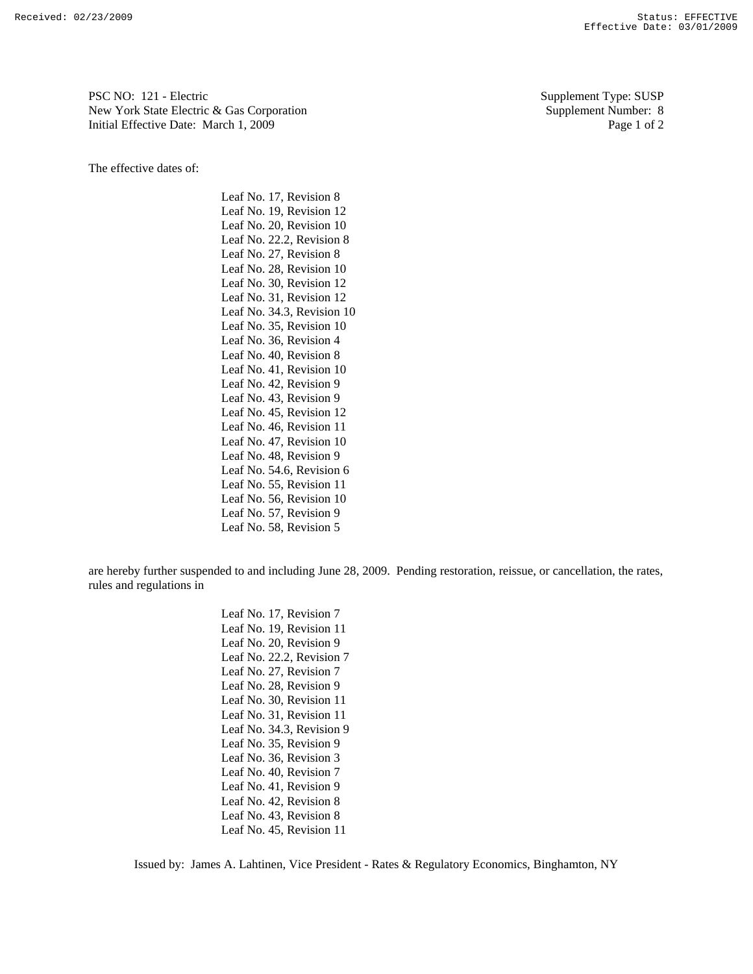PSC NO: 121 - Electric Supplement Type: SUSP New York State Electric & Gas Corporation Supplement Number: 8 Initial Effective Date: March 1, 2009 Page 1 of 2

The effective dates of:

Leaf No. 17, Revision 8 Leaf No. 19, Revision 12 Leaf No. 20, Revision 10 Leaf No. 22.2, Revision 8 Leaf No. 27, Revision 8 Leaf No. 28, Revision 10 Leaf No. 30, Revision 12 Leaf No. 31, Revision 12 Leaf No. 34.3, Revision 10 Leaf No. 35, Revision 10 Leaf No. 36, Revision 4 Leaf No. 40, Revision 8 Leaf No. 41, Revision 10 Leaf No. 42, Revision 9 Leaf No. 43, Revision 9 Leaf No. 45, Revision 12 Leaf No. 46, Revision 11 Leaf No. 47, Revision 10 Leaf No. 48, Revision 9 Leaf No. 54.6, Revision 6 Leaf No. 55, Revision 11 Leaf No. 56, Revision 10 Leaf No. 57, Revision 9 Leaf No. 58, Revision 5

are hereby further suspended to and including June 28, 2009. Pending restoration, reissue, or cancellation, the rates, rules and regulations in

> Leaf No. 17, Revision 7 Leaf No. 19, Revision 11 Leaf No. 20, Revision 9 Leaf No. 22.2, Revision 7 Leaf No. 27, Revision 7 Leaf No. 28, Revision 9 Leaf No. 30, Revision 11 Leaf No. 31, Revision 11 Leaf No. 34.3, Revision 9 Leaf No. 35, Revision 9 Leaf No. 36, Revision 3 Leaf No. 40, Revision 7 Leaf No. 41, Revision 9 Leaf No. 42, Revision 8 Leaf No. 43, Revision 8 Leaf No. 45, Revision 11

Issued by: James A. Lahtinen, Vice President - Rates & Regulatory Economics, Binghamton, NY